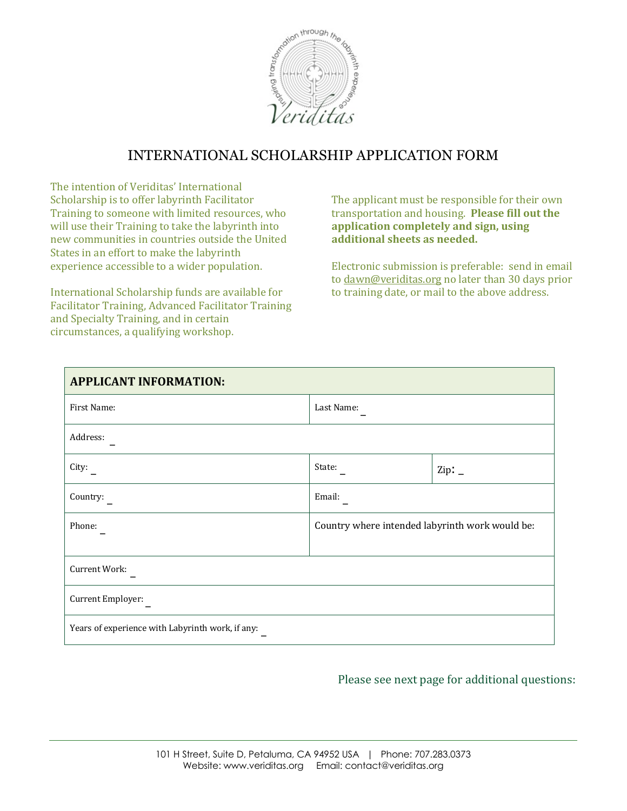

## INTERNATIONAL SCHOLARSHIP APPLICATION FORM

The intention of Veriditas' International Scholarship is to offer labyrinth Facilitator Training to someone with limited resources, who will use their Training to take the labyrinth into new communities in countries outside the United States in an effort to make the labyrinth experience accessible to a wider population.

International Scholarship funds are available for Facilitator Training, Advanced Facilitator Training and Specialty Training, and in certain circumstances, a qualifying workshop.

The applicant must be responsible for their own transportation and housing. Please fill out the application completely and sign, using additional sheets as needed.

Electronic submission is preferable: send in email to dawn@veriditas.org no later than 30 days prior to training date, or mail to the above address.

| <b>APPLICANT INFORMATION:</b>                    |                                                 |             |
|--------------------------------------------------|-------------------------------------------------|-------------|
| First Name:                                      | Last Name:                                      |             |
| Address:                                         |                                                 |             |
| City:                                            | State:                                          | Zip: $_{-}$ |
| Country:                                         | Email:                                          |             |
| Phone:                                           | Country where intended labyrinth work would be: |             |
| Current Work:                                    |                                                 |             |
| Current Employer:                                |                                                 |             |
| Years of experience with Labyrinth work, if any: |                                                 |             |

## Please see next page for additional questions: